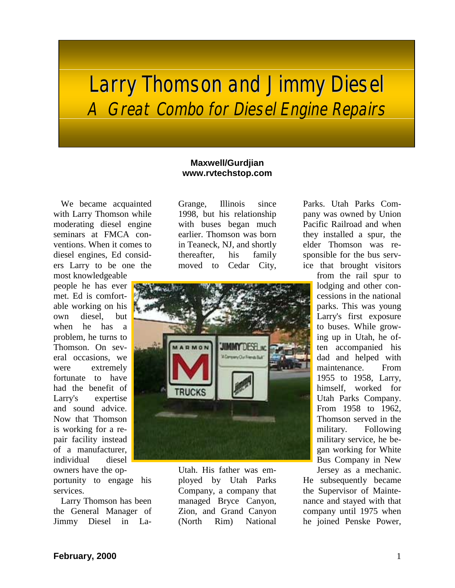## Larry Thomson and Jimmy Diesel A Great Combo for Diesel Engine Repairs

## **Maxwell/Gurdjian www.rvtechstop.com**

We became acquainted with Larry Thomson while moderating diesel engine seminars at FMCA conventions. When it comes to diesel engines, Ed considers Larry to be one the

most knowledgeable people he has ever met. Ed is comfortable working on his own diesel, but when he has a problem, he turns to Thomson. On several occasions, we were extremely fortunate to have had the benefit of Larry's expertise and sound advice. Now that Thomson is working for a repair facility instead of a manufacturer, individual diesel owners have the op-

portunity to engage his services.

Larry Thomson has been the General Manager of Jimmy Diesel in La-

Grange, Illinois since 1998, but his relationship with buses began much earlier. Thomson was born in Teaneck, NJ, and shortly thereafter, his family moved to Cedar City,



Utah. His father was employed by Utah Parks Company, a company that managed Bryce Canyon, Zion, and Grand Canyon (North Rim) National

Parks. Utah Parks Company was owned by Union Pacific Railroad and when they installed a spur, the elder Thomson was responsible for the bus service that brought visitors

> from the rail spur to lodging and other concessions in the national parks. This was young Larry's first exposure to buses. While growing up in Utah, he often accompanied his dad and helped with maintenance. From 1955 to 1958, Larry, himself, worked for Utah Parks Company. From 1958 to 1962, Thomson served in the military. Following military service, he began working for White Bus Company in New Jersey as a mechanic.

He subsequently became the Supervisor of Maintenance and stayed with that company until 1975 when he joined Penske Power,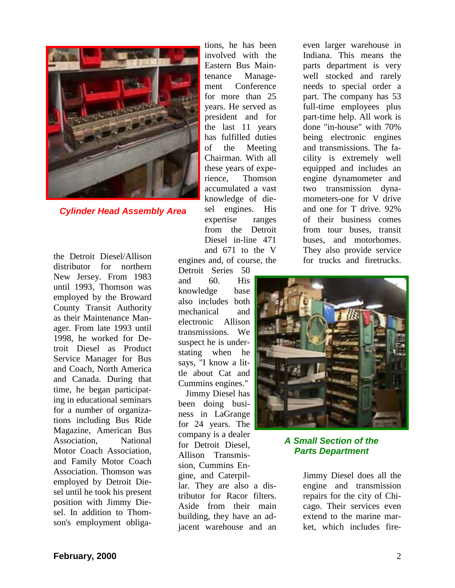

*Cylinder Head Assembly Area*

the Detroit Diesel/Allison distributor for northern New Jersey. From 1983 until 1993, Thomson was employed by the Broward County Transit Authority as their Maintenance Manager. From late 1993 until 1998, he worked for Detroit Diesel as Product Service Manager for Bus and Coach, North America and Canada. During that time, he began participating in educational seminars for a number of organizations including Bus Ride Magazine, American Bus Association, National Motor Coach Association, and Family Motor Coach Association. Thomson was employed by Detroit Diesel until he took his present position with Jimmy Diesel. In addition to Thomson's employment obliga-

tions, he has been involved with the Eastern Bus Maintenance Management Conference for more than 25 years. He served as president and for the last 11 years has fulfilled duties of the Meeting Chairman. With all these years of experience, Thomson accumulated a vast knowledge of diesel engines. His expertise ranges from the Detroit Diesel in-line 471 and 671 to the V engines and, of course, the

Detroit Series 50 and 60. His knowledge base also includes both mechanical and electronic Allison transmissions. We suspect he is understating when he says, "I know a little about Cat and Cummins engines."

Jimmy Diesel has been doing business in LaGrange for 24 years. The company is a dealer for Detroit Diesel, Allison Transmission, Cummins Engine, and Caterpillar. They are also a distributor for Racor filters. Aside from their main building, they have an adjacent warehouse and an even larger warehouse in Indiana. This means the parts department is very well stocked and rarely needs to special order a part. The company has 53 full-time employees plus part-time help. All work is done "in-house" with 70% being electronic engines and transmissions. The facility is extremely well equipped and includes an engine dynamometer and two transmission dynamometers-one for V drive and one for T drive. 92% of their business comes from tour buses, transit buses, and motorhomes. They also provide service for trucks and firetrucks.



*A Small Section of the Parts Department*

Jimmy Diesel does all the engine and transmission repairs for the city of Chicago. Their services even extend to the marine market, which includes fire